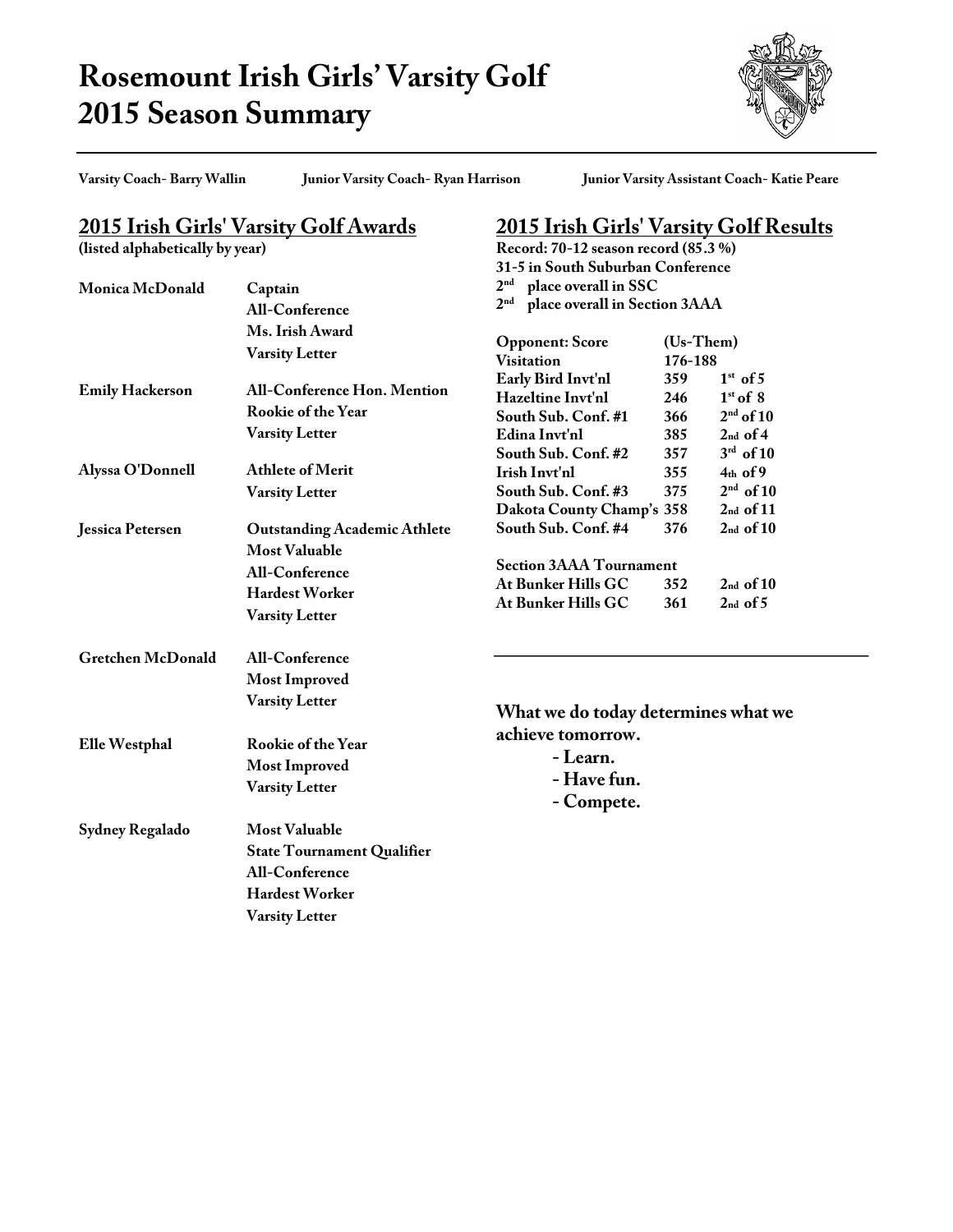## **Rosemount Irish Girls' Varsity Golf 2015 Season Summary**



**Varsity Coach- Barry Wallin Junior Varsity Coach- Ryan Harrison Junior Varsity Assistant Coach- Katie Peare**

**2015 Irish Girls' Varsity Golf Results**

**Record: 70-12 season record (85.3 %)**

## **2015 Irish Girls' Varsity Golf Awards**

**(listed alphabetically by year)**

| Monica McDonald          | Captain                                                                                                                                | 31-5 in South Suburban Conference<br>2 <sup>nd</sup><br>place overall in SSC<br>2 <sup>nd</sup><br>place overall in Section 3AAA |                                 |                                                                         |
|--------------------------|----------------------------------------------------------------------------------------------------------------------------------------|----------------------------------------------------------------------------------------------------------------------------------|---------------------------------|-------------------------------------------------------------------------|
|                          | <b>All-Conference</b><br>Ms. Irish Award<br><b>Varsity Letter</b>                                                                      | <b>Opponent: Score</b><br><b>Visitation</b>                                                                                      | (Us-Them)<br>176-188            |                                                                         |
| <b>Emily Hackerson</b>   | <b>All-Conference Hon. Mention</b><br>Rookie of the Year<br><b>Varsity Letter</b>                                                      | Early Bird Invt'nl<br>Hazeltine Invt'nl<br>South Sub. Conf. #1<br>Edina Invt'nl<br>South Sub. Conf. #2                           | 359<br>246<br>366<br>385<br>357 | $1st$ of 5<br>$1st$ of 8<br>$2nd$ of 10<br>$2nd$ of 4<br>$3^{rd}$ of 10 |
| Alyssa O'Donnell         | <b>Athlete of Merit</b><br><b>Varsity Letter</b>                                                                                       | Irish Invt'nl<br>South Sub. Conf. #3<br>Dakota County Champ's 358                                                                | 355<br>375                      | $4th$ of 9<br>$2nd$ of 10<br>$2nd$ of 11                                |
| Jessica Petersen         | <b>Outstanding Academic Athlete</b><br><b>Most Valuable</b><br><b>All-Conference</b><br><b>Hardest Worker</b><br><b>Varsity Letter</b> | South Sub. Conf. #4<br><b>Section 3AAA Tournament</b><br>At Bunker Hills GC<br>At Bunker Hills GC                                | 376<br>352<br>361               | $2nd$ of $10$<br>$2nd$ of $10$<br>$2nd$ of 5                            |
| <b>Gretchen McDonald</b> | <b>All-Conference</b><br><b>Most Improved</b><br><b>Varsity Letter</b>                                                                 | What we do today determines what we                                                                                              |                                 |                                                                         |
| Elle Westphal            | Rookie of the Year<br><b>Most Improved</b><br><b>Varsity Letter</b>                                                                    | achieve tomorrow.<br>- Learn.<br>- Have fun.<br>- Compete.                                                                       |                                 |                                                                         |
| Sydney Regalado          | <b>Most Valuable</b><br><b>State Tournament Qualifier</b><br><b>All-Conference</b><br>Hardest Worker<br><b>Varsity Letter</b>          |                                                                                                                                  |                                 |                                                                         |